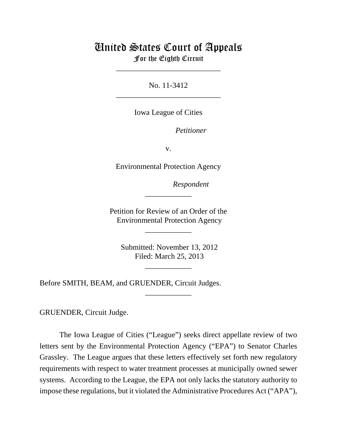# United States Court of Appeals For the Eighth Circuit

\_\_\_\_\_\_\_\_\_\_\_\_\_\_\_\_\_\_\_\_\_\_\_\_\_\_\_

No. 11-3412 \_\_\_\_\_\_\_\_\_\_\_\_\_\_\_\_\_\_\_\_\_\_\_\_\_\_\_

Iowa League of Cities

Petitioner

v.

Environmental Protection Agency

lllllllllllllllllllll*Respondent*

Petition for Review of an Order of the Environmental Protection Agency

\_\_\_\_\_\_\_\_\_\_\_\_

\_\_\_\_\_\_\_\_\_\_\_\_

 Submitted: November 13, 2012 Filed: March 25, 2013

\_\_\_\_\_\_\_\_\_\_\_\_

\_\_\_\_\_\_\_\_\_\_\_\_

Before SMITH, BEAM, and GRUENDER, Circuit Judges.

GRUENDER, Circuit Judge.

The Iowa League of Cities ("League") seeks direct appellate review of two letters sent by the Environmental Protection Agency ("EPA") to Senator Charles Grassley. The League argues that these letters effectively set forth new regulatory requirements with respect to water treatment processes at municipally owned sewer systems. According to the League, the EPA not only lacks the statutory authority to impose these regulations, but it violated the Administrative Procedures Act ("APA"),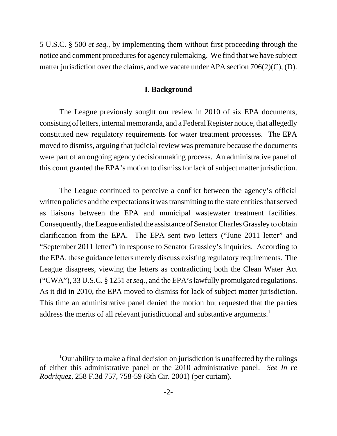5 U.S.C. § 500 *et seq.*, by implementing them without first proceeding through the notice and comment procedures for agency rulemaking. We find that we have subject matter jurisdiction over the claims, and we vacate under APA section 706(2)(C), (D).

### **I. Background**

The League previously sought our review in 2010 of six EPA documents, consisting of letters, internal memoranda, and a Federal Register notice, that allegedly constituted new regulatory requirements for water treatment processes. The EPA moved to dismiss, arguing that judicial review was premature because the documents were part of an ongoing agency decisionmaking process. An administrative panel of this court granted the EPA's motion to dismiss for lack of subject matter jurisdiction.

The League continued to perceive a conflict between the agency's official written policies and the expectations it was transmitting to the state entities that served as liaisons between the EPA and municipal wastewater treatment facilities. Consequently, the League enlisted the assistance of Senator Charles Grassley to obtain clarification from the EPA. The EPA sent two letters ("June 2011 letter" and "September 2011 letter") in response to Senator Grassley's inquiries. According to the EPA, these guidance letters merely discuss existing regulatory requirements. The League disagrees, viewing the letters as contradicting both the Clean Water Act ("CWA"), 33 U.S.C. § 1251 *et seq.*, and the EPA's lawfully promulgated regulations. As it did in 2010, the EPA moved to dismiss for lack of subject matter jurisdiction. This time an administrative panel denied the motion but requested that the parties address the merits of all relevant jurisdictional and substantive arguments.<sup>1</sup>

<sup>&</sup>lt;sup>1</sup>Our ability to make a final decision on jurisdiction is unaffected by the rulings of either this administrative panel or the 2010 administrative panel. *See In re Rodriquez*, 258 F.3d 757, 758-59 (8th Cir. 2001) (per curiam).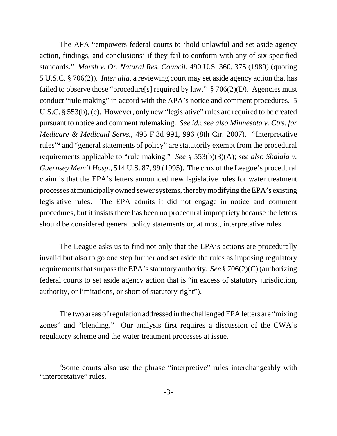The APA "empowers federal courts to 'hold unlawful and set aside agency action, findings, and conclusions' if they fail to conform with any of six specified standards." *Marsh v. Or. Natural Res. Council*, 490 U.S. 360, 375 (1989) (quoting 5 U.S.C. § 706(2)). *Inter alia*, a reviewing court may set aside agency action that has failed to observe those "procedure[s] required by law."  $\S 706(2)(D)$ . Agencies must conduct "rule making" in accord with the APA's notice and comment procedures. 5 U.S.C. § 553(b), (c). However, only new "legislative" rules are required to be created pursuant to notice and comment rulemaking. *See id.*; *see also Minnesota v. Ctrs. for Medicare & Medicaid Servs.*, 495 F.3d 991, 996 (8th Cir. 2007). "Interpretative rules"<sup>2</sup> and "general statements of policy" are statutorily exempt from the procedural requirements applicable to "rule making." *See* § 553(b)(3)(A); *see also Shalala v. Guernsey Mem'l Hosp.*, 514 U.S. 87, 99 (1995). The crux of the League's procedural claim is that the EPA's letters announced new legislative rules for water treatment processes at municipally owned sewer systems, thereby modifying the EPA's existing legislative rules. The EPA admits it did not engage in notice and comment procedures, but it insists there has been no procedural impropriety because the letters should be considered general policy statements or, at most, interpretative rules.

The League asks us to find not only that the EPA's actions are procedurally invalid but also to go one step further and set aside the rules as imposing regulatory requirements that surpass the EPA's statutory authority. *See* § 706(2)(C) (authorizing federal courts to set aside agency action that is "in excess of statutory jurisdiction, authority, or limitations, or short of statutory right").

The two areas of regulation addressed in the challenged EPA letters are "mixing zones" and "blending." Our analysis first requires a discussion of the CWA's regulatory scheme and the water treatment processes at issue.

<sup>&</sup>lt;sup>2</sup>Some courts also use the phrase "interpretive" rules interchangeably with "interpretative" rules.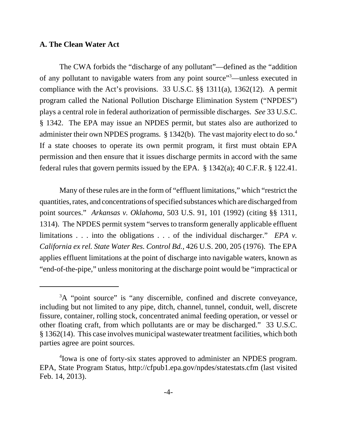#### **A. The Clean Water Act**

The CWA forbids the "discharge of any pollutant"—defined as the "addition of any pollutant to navigable waters from any point source"<sup>3</sup>—unless executed in compliance with the Act's provisions. 33 U.S.C. §§ 1311(a), 1362(12). A permit program called the National Pollution Discharge Elimination System ("NPDES") plays a central role in federal authorization of permissible discharges. *See* 33 U.S.C. § 1342. The EPA may issue an NPDES permit, but states also are authorized to administer their own NPDES programs.  $\S 1342(b)$ . The vast majority elect to do so.<sup>4</sup> If a state chooses to operate its own permit program, it first must obtain EPA permission and then ensure that it issues discharge permits in accord with the same federal rules that govern permits issued by the EPA. § 1342(a); 40 C.F.R. § 122.41.

Many of these rules are in the form of "effluent limitations," which "restrict the quantities, rates, and concentrations of specified substances which are discharged from point sources." *Arkansas v. Oklahoma*, 503 U.S. 91, 101 (1992) (citing §§ 1311, 1314). The NPDES permit system "serves to transform generally applicable effluent limitations . . . into the obligations . . . of the individual discharger." *EPA v. California ex rel. State Water Res. Control Bd.*, 426 U.S. 200, 205 (1976). The EPA applies effluent limitations at the point of discharge into navigable waters, known as "end-of-the-pipe," unless monitoring at the discharge point would be "impractical or

<sup>&</sup>lt;sup>3</sup>A "point source" is "any discernible, confined and discrete conveyance, including but not limited to any pipe, ditch, channel, tunnel, conduit, well, discrete fissure, container, rolling stock, concentrated animal feeding operation, or vessel or other floating craft, from which pollutants are or may be discharged." 33 U.S.C. § 1362(14). This case involves municipal wastewater treatment facilities, which both parties agree are point sources.

<sup>4</sup> Iowa is one of forty-six states approved to administer an NPDES program. EPA, State Program Status, http://cfpub1.epa.gov/npdes/statestats.cfm (last visited Feb. 14, 2013).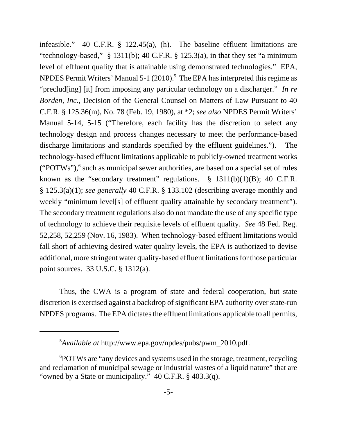infeasible." 40 C.F.R. § 122.45(a), (h). The baseline effluent limitations are "technology-based," § 1311(b); 40 C.F.R. § 125.3(a), in that they set "a minimum level of effluent quality that is attainable using demonstrated technologies." EPA, NPDES Permit Writers' Manual 5-1 (2010).<sup>5</sup> The EPA has interpreted this regime as "preclud[ing] [it] from imposing any particular technology on a discharger." *In re Borden, Inc.*, Decision of the General Counsel on Matters of Law Pursuant to 40 C.F.R. § 125.36(m), No. 78 (Feb. 19, 1980), at \*2; *see also* NPDES Permit Writers' Manual 5-14, 5-15 ("Therefore, each facility has the discretion to select any technology design and process changes necessary to meet the performance-based discharge limitations and standards specified by the effluent guidelines."). The technology-based effluent limitations applicable to publicly-owned treatment works  $("POTWs"),$ <sup>6</sup> such as municipal sewer authorities, are based on a special set of rules known as the "secondary treatment" regulations.  $\S$  1311(b)(1)(B); 40 C.F.R. § 125.3(a)(1); *see generally* 40 C.F.R. § 133.102 (describing average monthly and weekly "minimum level[s] of effluent quality attainable by secondary treatment"). The secondary treatment regulations also do not mandate the use of any specific type of technology to achieve their requisite levels of effluent quality. *See* 48 Fed. Reg. 52,258, 52,259 (Nov. 16, 1983). When technology-based effluent limitations would fall short of achieving desired water quality levels, the EPA is authorized to devise additional, more stringent water quality-based effluent limitations for those particular point sources. 33 U.S.C. § 1312(a).

Thus, the CWA is a program of state and federal cooperation, but state discretion is exercised against a backdrop of significant EPA authority over state-run NPDES programs. The EPA dictates the effluent limitations applicable to all permits,

<sup>5</sup> *Available at* http://www.epa.gov/npdes/pubs/pwm\_2010.pdf.

<sup>6</sup> POTWs are "any devices and systems used in the storage, treatment, recycling and reclamation of municipal sewage or industrial wastes of a liquid nature" that are "owned by a State or municipality." 40 C.F.R. § 403.3(q).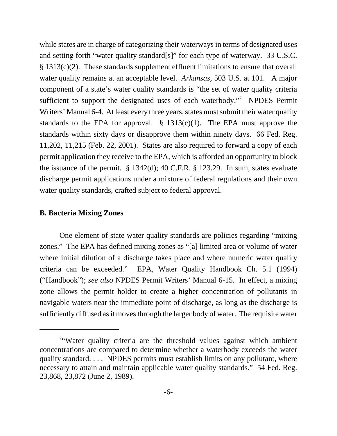while states are in charge of categorizing their waterways in terms of designated uses and setting forth "water quality standard[s]" for each type of waterway. 33 U.S.C. § 1313(c)(2). These standards supplement effluent limitations to ensure that overall water quality remains at an acceptable level. *Arkansas*, 503 U.S. at 101. A major component of a state's water quality standards is "the set of water quality criteria sufficient to support the designated uses of each waterbody."<sup>7</sup> NPDES Permit Writers' Manual 6-4. At least every three years, states must submit their water quality standards to the EPA for approval.  $\S$  1313(c)(1). The EPA must approve the standards within sixty days or disapprove them within ninety days. 66 Fed. Reg. 11,202, 11,215 (Feb. 22, 2001). States are also required to forward a copy of each permit application they receive to the EPA, which is afforded an opportunity to block the issuance of the permit. § 1342(d); 40 C.F.R. § 123.29. In sum, states evaluate discharge permit applications under a mixture of federal regulations and their own water quality standards, crafted subject to federal approval.

## **B. Bacteria Mixing Zones**

One element of state water quality standards are policies regarding "mixing zones." The EPA has defined mixing zones as "[a] limited area or volume of water where initial dilution of a discharge takes place and where numeric water quality criteria can be exceeded." EPA, Water Quality Handbook Ch. 5.1 (1994) ("Handbook"); *see also* NPDES Permit Writers' Manual 6-15. In effect, a mixing zone allows the permit holder to create a higher concentration of pollutants in navigable waters near the immediate point of discharge, as long as the discharge is sufficiently diffused as it moves through the larger body of water. The requisite water

<sup>&</sup>lt;sup>7</sup> Water quality criteria are the threshold values against which ambient concentrations are compared to determine whether a waterbody exceeds the water quality standard. . . . NPDES permits must establish limits on any pollutant, where necessary to attain and maintain applicable water quality standards." 54 Fed. Reg. 23,868, 23,872 (June 2, 1989).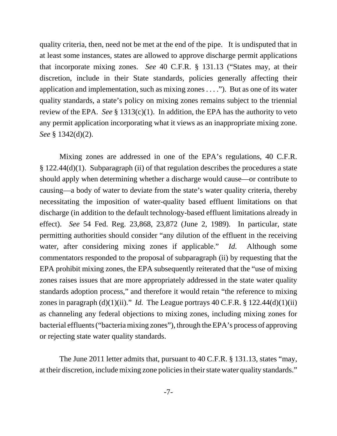quality criteria, then, need not be met at the end of the pipe. It is undisputed that in at least some instances, states are allowed to approve discharge permit applications that incorporate mixing zones. *See* 40 C.F.R. § 131.13 ("States may, at their discretion, include in their State standards, policies generally affecting their application and implementation, such as mixing zones . . . ."). But as one of its water quality standards, a state's policy on mixing zones remains subject to the triennial review of the EPA. *See* § 1313(c)(1). In addition, the EPA has the authority to veto any permit application incorporating what it views as an inappropriate mixing zone. *See* § 1342(d)(2).

Mixing zones are addressed in one of the EPA's regulations, 40 C.F.R. § 122.44(d)(1). Subparagraph (ii) of that regulation describes the procedures a state should apply when determining whether a discharge would cause—or contribute to causing—a body of water to deviate from the state's water quality criteria, thereby necessitating the imposition of water-quality based effluent limitations on that discharge (in addition to the default technology-based effluent limitations already in effect). *See* 54 Fed. Reg. 23,868, 23,872 (June 2, 1989). In particular, state permitting authorities should consider "any dilution of the effluent in the receiving water, after considering mixing zones if applicable." *Id.* Although some commentators responded to the proposal of subparagraph (ii) by requesting that the EPA prohibit mixing zones, the EPA subsequently reiterated that the "use of mixing zones raises issues that are more appropriately addressed in the state water quality standards adoption process," and therefore it would retain "the reference to mixing zones in paragraph  $(d)(1)(ii)$ ." *Id.* The League portrays  $40$  C.F.R. § 122.44 $(d)(1)(ii)$ as channeling any federal objections to mixing zones, including mixing zones for bacterial effluents ("bacteria mixing zones"), through the EPA's process of approving or rejecting state water quality standards.

The June 2011 letter admits that, pursuant to 40 C.F.R. § 131.13, states "may, at their discretion, include mixing zone policies in their state water quality standards."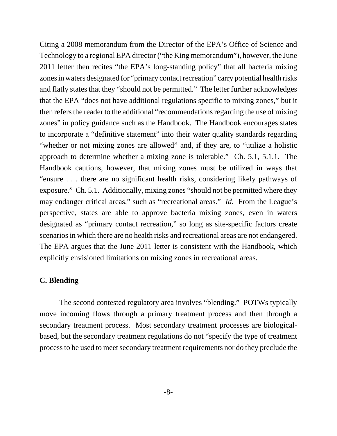Citing a 2008 memorandum from the Director of the EPA's Office of Science and Technology to a regional EPA director ("the King memorandum"), however, the June 2011 letter then recites "the EPA's long-standing policy" that all bacteria mixing zones in waters designated for "primary contact recreation" carry potential health risks and flatly states that they "should not be permitted." The letter further acknowledges that the EPA "does not have additional regulations specific to mixing zones," but it then refers the reader to the additional "recommendations regarding the use of mixing zones" in policy guidance such as the Handbook. The Handbook encourages states to incorporate a "definitive statement" into their water quality standards regarding "whether or not mixing zones are allowed" and, if they are, to "utilize a holistic approach to determine whether a mixing zone is tolerable." Ch. 5.1, 5.1.1. The Handbook cautions, however, that mixing zones must be utilized in ways that "ensure . . . there are no significant health risks, considering likely pathways of exposure." Ch. 5.1. Additionally, mixing zones "should not be permitted where they may endanger critical areas," such as "recreational areas." *Id.* From the League's perspective, states are able to approve bacteria mixing zones, even in waters designated as "primary contact recreation," so long as site-specific factors create scenarios in which there are no health risks and recreational areas are not endangered. The EPA argues that the June 2011 letter is consistent with the Handbook, which explicitly envisioned limitations on mixing zones in recreational areas.

### **C. Blending**

The second contested regulatory area involves "blending." POTWs typically move incoming flows through a primary treatment process and then through a secondary treatment process. Most secondary treatment processes are biologicalbased, but the secondary treatment regulations do not "specify the type of treatment process to be used to meet secondary treatment requirements nor do they preclude the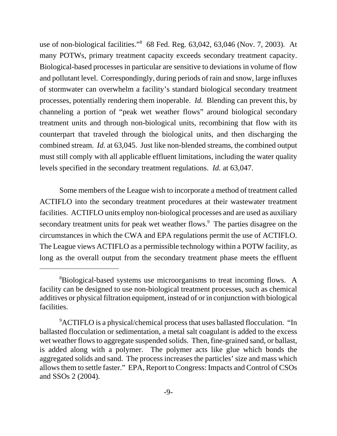use of non-biological facilities."8 68 Fed. Reg. 63,042, 63,046 (Nov. 7, 2003). At many POTWs, primary treatment capacity exceeds secondary treatment capacity. Biological-based processes in particular are sensitive to deviations in volume of flow and pollutant level. Correspondingly, during periods of rain and snow, large influxes of stormwater can overwhelm a facility's standard biological secondary treatment processes, potentially rendering them inoperable. *Id.* Blending can prevent this, by channeling a portion of "peak wet weather flows" around biological secondary treatment units and through non-biological units, recombining that flow with its counterpart that traveled through the biological units, and then discharging the combined stream. *Id.* at 63,045. Just like non-blended streams, the combined output must still comply with all applicable effluent limitations, including the water quality levels specified in the secondary treatment regulations. *Id.* at 63,047.

Some members of the League wish to incorporate a method of treatment called ACTIFLO into the secondary treatment procedures at their wastewater treatment facilities. ACTIFLO units employ non-biological processes and are used as auxiliary secondary treatment units for peak wet weather flows.<sup>9</sup> The parties disagree on the circumstances in which the CWA and EPA regulations permit the use of ACTIFLO. The League views ACTIFLO as a permissible technology within a POTW facility, as long as the overall output from the secondary treatment phase meets the effluent

<sup>&</sup>lt;sup>8</sup>Biological-based systems use microorganisms to treat incoming flows. A facility can be designed to use non-biological treatment processes, such as chemical additives or physical filtration equipment, instead of or in conjunction with biological facilities.

<sup>&</sup>lt;sup>9</sup>ACTIFLO is a physical/chemical process that uses ballasted flocculation. "In ballasted flocculation or sedimentation, a metal salt coagulant is added to the excess wet weather flows to aggregate suspended solids. Then, fine-grained sand, or ballast, is added along with a polymer. The polymer acts like glue which bonds the aggregated solids and sand. The process increases the particles' size and mass which allows them to settle faster." EPA, Report to Congress: Impacts and Control of CSOs and SSOs 2 (2004).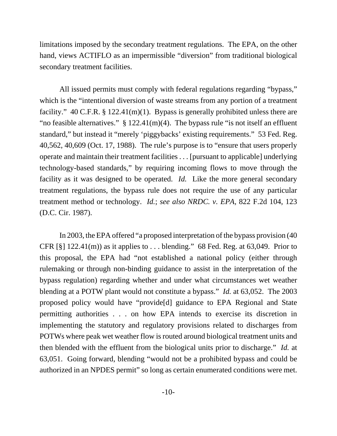limitations imposed by the secondary treatment regulations. The EPA, on the other hand, views ACTIFLO as an impermissible "diversion" from traditional biological secondary treatment facilities.

All issued permits must comply with federal regulations regarding "bypass," which is the "intentional diversion of waste streams from any portion of a treatment facility." 40 C.F.R. § 122.41(m)(1). Bypass is generally prohibited unless there are "no feasible alternatives."  $\S$  122.41(m)(4). The bypass rule "is not itself an effluent standard," but instead it "merely 'piggybacks' existing requirements." 53 Fed. Reg. 40,562, 40,609 (Oct. 17, 1988). The rule's purpose is to "ensure that users properly operate and maintain their treatment facilities . . . [pursuant to applicable] underlying technology-based standards," by requiring incoming flows to move through the facility as it was designed to be operated. *Id.* Like the more general secondary treatment regulations, the bypass rule does not require the use of any particular treatment method or technology. *Id.*; *see also NRDC. v. EPA*, 822 F.2d 104, 123 (D.C. Cir. 1987).

In 2003, the EPA offered "a proposed interpretation of the bypass provision (40 CFR  $[\S]$  122.41(m)) as it applies to ... blending." 68 Fed. Reg. at 63,049. Prior to this proposal, the EPA had "not established a national policy (either through rulemaking or through non-binding guidance to assist in the interpretation of the bypass regulation) regarding whether and under what circumstances wet weather blending at a POTW plant would not constitute a bypass." *Id.* at 63,052. The 2003 proposed policy would have "provide[d] guidance to EPA Regional and State permitting authorities . . . on how EPA intends to exercise its discretion in implementing the statutory and regulatory provisions related to discharges from POTWs where peak wet weather flow is routed around biological treatment units and then blended with the effluent from the biological units prior to discharge." *Id.* at 63,051. Going forward, blending "would not be a prohibited bypass and could be authorized in an NPDES permit" so long as certain enumerated conditions were met.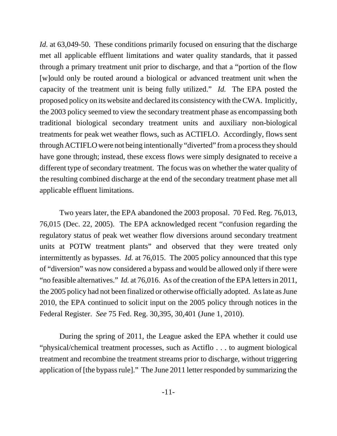*Id.* at 63,049-50. These conditions primarily focused on ensuring that the discharge met all applicable effluent limitations and water quality standards, that it passed through a primary treatment unit prior to discharge, and that a "portion of the flow [w]ould only be routed around a biological or advanced treatment unit when the capacity of the treatment unit is being fully utilized." *Id.* The EPA posted the proposed policy on its website and declared its consistency with the CWA. Implicitly, the 2003 policy seemed to view the secondary treatment phase as encompassing both traditional biological secondary treatment units and auxiliary non-biological treatments for peak wet weather flows, such as ACTIFLO. Accordingly, flows sent through ACTIFLO were not being intentionally "diverted" from a process they should have gone through; instead, these excess flows were simply designated to receive a different type of secondary treatment. The focus was on whether the water quality of the resulting combined discharge at the end of the secondary treatment phase met all applicable effluent limitations.

Two years later, the EPA abandoned the 2003 proposal. 70 Fed. Reg. 76,013, 76,015 (Dec. 22, 2005). The EPA acknowledged recent "confusion regarding the regulatory status of peak wet weather flow diversions around secondary treatment units at POTW treatment plants" and observed that they were treated only intermittently as bypasses. *Id.* at 76,015. The 2005 policy announced that this type of "diversion" was now considered a bypass and would be allowed only if there were "no feasible alternatives." *Id.* at 76,016. As of the creation of the EPA letters in 2011, the 2005 policy had not been finalized or otherwise officially adopted. As late as June 2010, the EPA continued to solicit input on the 2005 policy through notices in the Federal Register. *See* 75 Fed. Reg. 30,395, 30,401 (June 1, 2010).

During the spring of 2011, the League asked the EPA whether it could use "physical/chemical treatment processes, such as Actiflo . . . to augment biological treatment and recombine the treatment streams prior to discharge, without triggering application of [the bypass rule]." The June 2011 letter responded by summarizing the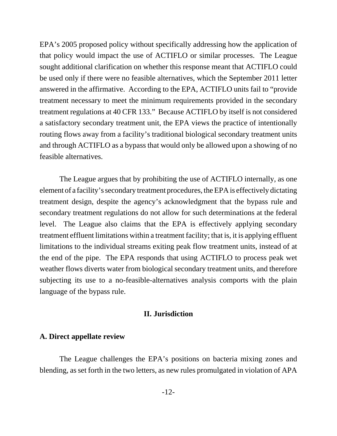EPA's 2005 proposed policy without specifically addressing how the application of that policy would impact the use of ACTIFLO or similar processes. The League sought additional clarification on whether this response meant that ACTIFLO could be used only if there were no feasible alternatives, which the September 2011 letter answered in the affirmative. According to the EPA, ACTIFLO units fail to "provide treatment necessary to meet the minimum requirements provided in the secondary treatment regulations at 40 CFR 133." Because ACTIFLO by itself is not considered a satisfactory secondary treatment unit, the EPA views the practice of intentionally routing flows away from a facility's traditional biological secondary treatment units and through ACTIFLO as a bypass that would only be allowed upon a showing of no feasible alternatives.

The League argues that by prohibiting the use of ACTIFLO internally, as one element of a facility's secondary treatment procedures, the EPA is effectively dictating treatment design, despite the agency's acknowledgment that the bypass rule and secondary treatment regulations do not allow for such determinations at the federal level. The League also claims that the EPA is effectively applying secondary treatment effluent limitations within a treatment facility; that is, it is applying effluent limitations to the individual streams exiting peak flow treatment units, instead of at the end of the pipe. The EPA responds that using ACTIFLO to process peak wet weather flows diverts water from biological secondary treatment units, and therefore subjecting its use to a no-feasible-alternatives analysis comports with the plain language of the bypass rule.

### **II. Jurisdiction**

## **A. Direct appellate review**

The League challenges the EPA's positions on bacteria mixing zones and blending, as set forth in the two letters, as new rules promulgated in violation of APA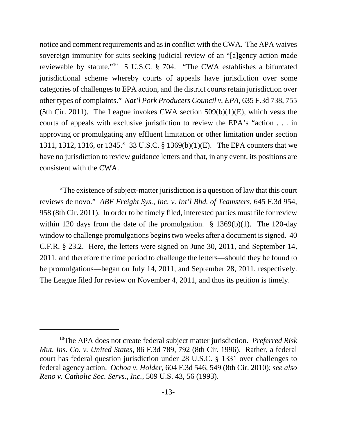notice and comment requirements and as in conflict with the CWA. The APA waives sovereign immunity for suits seeking judicial review of an "[a]gency action made reviewable by statute."10 5 U.S.C. § 704. "The CWA establishes a bifurcated jurisdictional scheme whereby courts of appeals have jurisdiction over some categories of challenges to EPA action, and the district courts retain jurisdiction over other types of complaints." *Nat'l Pork Producers Council v. EPA*, 635 F.3d 738, 755 (5th Cir. 2011). The League invokes CWA section  $509(b)(1)(E)$ , which vests the courts of appeals with exclusive jurisdiction to review the EPA's "action . . . in approving or promulgating any effluent limitation or other limitation under section 1311, 1312, 1316, or 1345." 33 U.S.C. § 1369(b)(1)(E). The EPA counters that we have no jurisdiction to review guidance letters and that, in any event, its positions are consistent with the CWA.

"The existence of subject-matter jurisdiction is a question of law that this court reviews de novo." *ABF Freight Sys., Inc. v. Int'l Bhd. of Teamsters*, 645 F.3d 954, 958 (8th Cir. 2011). In order to be timely filed, interested parties must file for review within 120 days from the date of the promulgation.  $\S$  1369(b)(1). The 120-day window to challenge promulgations begins two weeks after a document is signed. 40 C.F.R. § 23.2. Here, the letters were signed on June 30, 2011, and September 14, 2011, and therefore the time period to challenge the letters—should they be found to be promulgations—began on July 14, 2011, and September 28, 2011, respectively. The League filed for review on November 4, 2011, and thus its petition is timely.

<sup>10</sup>The APA does not create federal subject matter jurisdiction. *Preferred Risk Mut. Ins. Co. v. United States*, 86 F.3d 789, 792 (8th Cir. 1996). Rather, a federal court has federal question jurisdiction under 28 U.S.C. § 1331 over challenges to federal agency action. *Ochoa v. Holder*, 604 F.3d 546, 549 (8th Cir. 2010); *see also Reno v. Catholic Soc. Servs., Inc.*, 509 U.S. 43, 56 (1993).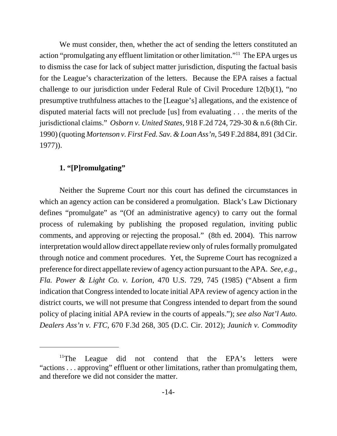We must consider, then, whether the act of sending the letters constituted an action "promulgating any effluent limitation or other limitation."11 The EPA urges us to dismiss the case for lack of subject matter jurisdiction, disputing the factual basis for the League's characterization of the letters. Because the EPA raises a factual challenge to our jurisdiction under Federal Rule of Civil Procedure 12(b)(1), "no presumptive truthfulness attaches to the [League's] allegations, and the existence of disputed material facts will not preclude [us] from evaluating . . . the merits of the jurisdictional claims." *Osborn v. United States*, 918 F.2d 724, 729-30 & n.6 (8th Cir. 1990) (quoting *Mortenson v. First Fed. Sav. & Loan Ass'n*, 549 F.2d 884, 891 (3d Cir. 1977)).

## **1. "[P]romulgating"**

Neither the Supreme Court nor this court has defined the circumstances in which an agency action can be considered a promulgation. Black's Law Dictionary defines "promulgate" as "(Of an administrative agency) to carry out the formal process of rulemaking by publishing the proposed regulation, inviting public comments, and approving or rejecting the proposal." (8th ed. 2004). This narrow interpretation would allow direct appellate review only of rules formally promulgated through notice and comment procedures. Yet, the Supreme Court has recognized a preference for direct appellate review of agency action pursuant to the APA. *See, e.g.*, *Fla. Power & Light Co. v. Lorion*, 470 U.S. 729, 745 (1985) ("Absent a firm indication that Congress intended to locate initial APA review of agency action in the district courts, we will not presume that Congress intended to depart from the sound policy of placing initial APA review in the courts of appeals."); *see also Nat'l Auto. Dealers Ass'n v. FTC*, 670 F.3d 268, 305 (D.C. Cir. 2012); *Jaunich v. Commodity*

<sup>&</sup>lt;sup>11</sup>The League did not contend that the EPA's letters were "actions . . . approving" effluent or other limitations, rather than promulgating them, and therefore we did not consider the matter.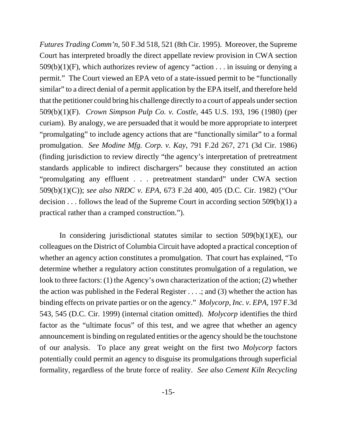*Futures Trading Comm'n*, 50 F.3d 518, 521 (8th Cir. 1995). Moreover, the Supreme Court has interpreted broadly the direct appellate review provision in CWA section 509(b)(1)(F), which authorizes review of agency "action . . . in issuing or denying a permit." The Court viewed an EPA veto of a state-issued permit to be "functionally similar" to a direct denial of a permit application by the EPA itself, and therefore held that the petitioner could bring his challenge directly to a court of appeals under section 509(b)(1)(F). *Crown Simpson Pulp Co. v. Costle*, 445 U.S. 193, 196 (1980) (per curiam). By analogy, we are persuaded that it would be more appropriate to interpret "promulgating" to include agency actions that are "functionally similar" to a formal promulgation. *See Modine Mfg. Corp. v. Kay*, 791 F.2d 267, 271 (3d Cir. 1986) (finding jurisdiction to review directly "the agency's interpretation of pretreatment standards applicable to indirect dischargers" because they constituted an action "promulgating any effluent . . . pretreatment standard" under CWA section 509(b)(1)(C)); *see also NRDC v. EPA*, 673 F.2d 400, 405 (D.C. Cir. 1982) ("Our decision . . . follows the lead of the Supreme Court in according section 509(b)(1) a practical rather than a cramped construction.").

In considering jurisdictional statutes similar to section  $509(b)(1)(E)$ , our colleagues on the District of Columbia Circuit have adopted a practical conception of whether an agency action constitutes a promulgation. That court has explained, "To determine whether a regulatory action constitutes promulgation of a regulation, we look to three factors: (1) the Agency's own characterization of the action; (2) whether the action was published in the Federal Register . . . .; and (3) whether the action has binding effects on private parties or on the agency." *Molycorp, Inc. v. EPA*, 197 F.3d 543, 545 (D.C. Cir. 1999) (internal citation omitted). *Molycorp* identifies the third factor as the "ultimate focus" of this test, and we agree that whether an agency announcement is binding on regulated entities or the agency should be the touchstone of our analysis. To place any great weight on the first two *Molycorp* factors potentially could permit an agency to disguise its promulgations through superficial formality, regardless of the brute force of reality. *See also Cement Kiln Recycling*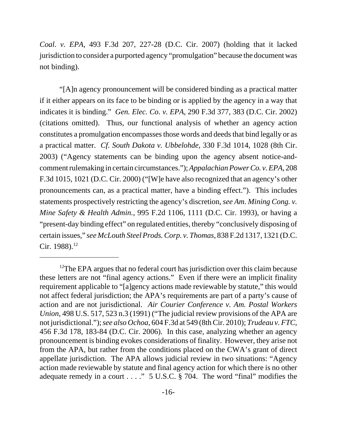*Coal. v. EPA*, 493 F.3d 207, 227-28 (D.C. Cir. 2007) (holding that it lacked jurisdiction to consider a purported agency "promulgation" because the document was not binding).

"[A]n agency pronouncement will be considered binding as a practical matter if it either appears on its face to be binding or is applied by the agency in a way that indicates it is binding." *Gen. Elec. Co. v. EPA*, 290 F.3d 377, 383 (D.C. Cir. 2002) (citations omitted). Thus, our functional analysis of whether an agency action constitutes a promulgation encompasses those words and deeds that bind legally or as a practical matter. *Cf. South Dakota v. Ubbelohde*, 330 F.3d 1014, 1028 (8th Cir. 2003) ("Agency statements can be binding upon the agency absent notice-andcomment rulemaking in certain circumstances."); *Appalachian Power Co. v. EPA*, 208 F.3d 1015, 1021 (D.C. Cir. 2000) ("[W]e have also recognized that an agency's other pronouncements can, as a practical matter, have a binding effect."). This includes statements prospectively restricting the agency's discretion, *see Am. Mining Cong. v. Mine Safety & Health Admin.*, 995 F.2d 1106, 1111 (D.C. Cir. 1993), or having a "present-day binding effect" on regulated entities, thereby "conclusively disposing of certain issues," *see McLouth Steel Prods. Corp. v. Thomas*, 838 F.2d 1317, 1321 (D.C. Cir. 1988).<sup>12</sup>

<sup>&</sup>lt;sup>12</sup>The EPA argues that no federal court has jurisdiction over this claim because these letters are not "final agency actions." Even if there were an implicit finality requirement applicable to "[a]gency actions made reviewable by statute," this would not affect federal jurisdiction; the APA's requirements are part of a party's cause of action and are not jurisdictional. *Air Courier Conference v. Am. Postal Workers Union*, 498 U.S. 517, 523 n.3 (1991) ("The judicial review provisions of the APA are not jurisdictional."); *see also Ochoa*, 604 F.3d at 549 (8th Cir. 2010); *Trudeau v. FTC*, 456 F.3d 178, 183-84 (D.C. Cir. 2006). In this case, analyzing whether an agency pronouncement is binding evokes considerations of finality. However, they arise not from the APA, but rather from the conditions placed on the CWA's grant of direct appellate jurisdiction. The APA allows judicial review in two situations: "Agency action made reviewable by statute and final agency action for which there is no other adequate remedy in a court . . . ." 5 U.S.C. § 704. The word "final" modifies the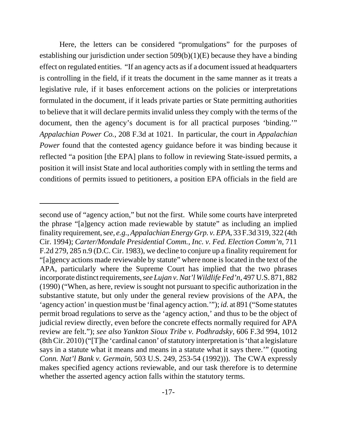Here, the letters can be considered "promulgations" for the purposes of establishing our jurisdiction under section 509(b)(1)(E) because they have a binding effect on regulated entities. "If an agency acts as if a document issued at headquarters is controlling in the field, if it treats the document in the same manner as it treats a legislative rule, if it bases enforcement actions on the policies or interpretations formulated in the document, if it leads private parties or State permitting authorities to believe that it will declare permits invalid unless they comply with the terms of the document, then the agency's document is for all practical purposes 'binding.'" *Appalachian Power Co.*, 208 F.3d at 1021. In particular, the court in *Appalachian Power* found that the contested agency guidance before it was binding because it reflected "a position [the EPA] plans to follow in reviewing State-issued permits, a position it will insist State and local authorities comply with in settling the terms and conditions of permits issued to petitioners, a position EPA officials in the field are

second use of "agency action," but not the first. While some courts have interpreted the phrase "[a]gency action made reviewable by statute" as including an implied finality requirement, s*ee, e.g.*, *Appalachian Energy Grp. v. EPA*, 33 F.3d 319, 322 (4th Cir. 1994); *Carter/Mondale Presidential Comm., Inc. v. Fed. Election Comm'n*, 711 F.2d 279, 285 n.9 (D.C. Cir. 1983), we decline to conjure up a finality requirement for "[a]gency actions made reviewable by statute" where none is located in the text of the APA, particularly where the Supreme Court has implied that the two phrases incorporate distinct requirements, *see Lujan v. Nat'l Wildlife Fed'n*, 497 U.S. 871, 882 (1990) ("When, as here, review is sought not pursuant to specific authorization in the substantive statute, but only under the general review provisions of the APA, the 'agency action' in question must be 'final agency action.'"); *id.* at 891 ("Some statutes permit broad regulations to serve as the 'agency action,' and thus to be the object of judicial review directly, even before the concrete effects normally required for APA review are felt."); *see also Yankton Sioux Tribe v. Podhradsky*, 606 F.3d 994, 1012 (8th Cir. 2010) ("[T]he 'cardinal canon' of statutory interpretation is 'that a legislature says in a statute what it means and means in a statute what it says there.'" (quoting *Conn. Nat'l Bank v. Germain*, 503 U.S. 249, 253-54 (1992))). The CWA expressly makes specified agency actions reviewable, and our task therefore is to determine whether the asserted agency action falls within the statutory terms.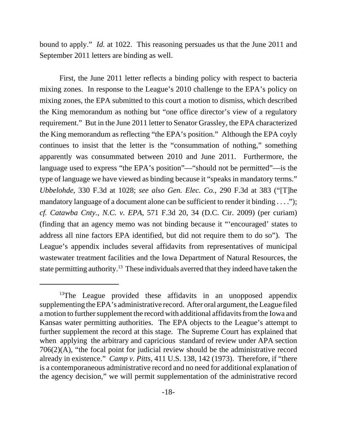bound to apply." *Id.* at 1022. This reasoning persuades us that the June 2011 and September 2011 letters are binding as well.

First, the June 2011 letter reflects a binding policy with respect to bacteria mixing zones. In response to the League's 2010 challenge to the EPA's policy on mixing zones, the EPA submitted to this court a motion to dismiss, which described the King memorandum as nothing but "one office director's view of a regulatory requirement." But in the June 2011 letter to Senator Grassley, the EPA characterized the King memorandum as reflecting "the EPA's position." Although the EPA coyly continues to insist that the letter is the "consummation of nothing," something apparently was consummated between 2010 and June 2011. Furthermore, the language used to express "the EPA's position"—"should not be permitted"—is the type of language we have viewed as binding because it "speaks in mandatory terms." *Ubbelohde*, 330 F.3d at 1028; *see also Gen. Elec. Co.*, 290 F.3d at 383 ("[T]he mandatory language of a document alone can be sufficient to render it binding . . . ."); *cf. Catawba Cnty., N.C. v. EPA*, 571 F.3d 20, 34 (D.C. Cir. 2009) (per curiam) (finding that an agency memo was not binding because it "'encouraged' states to address all nine factors EPA identified, but did not require them to do so"). The League's appendix includes several affidavits from representatives of municipal wastewater treatment facilities and the Iowa Department of Natural Resources, the state permitting authority.<sup>13</sup> These individuals averred that they indeed have taken the

 $13$ The League provided these affidavits in an unopposed appendix supplementing the EPA's administrative record. After oral argument, the League filed a motion to further supplement the record with additional affidavits from the Iowa and Kansas water permitting authorities. The EPA objects to the League's attempt to further supplement the record at this stage. The Supreme Court has explained that when applying the arbitrary and capricious standard of review under APA section 706(2)(A), "the focal point for judicial review should be the administrative record already in existence." *Camp v. Pitts*, 411 U.S. 138, 142 (1973). Therefore, if "there is a contemporaneous administrative record and no need for additional explanation of the agency decision," we will permit supplementation of the administrative record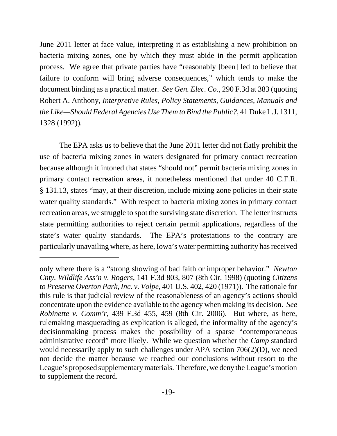June 2011 letter at face value, interpreting it as establishing a new prohibition on bacteria mixing zones, one by which they must abide in the permit application process. We agree that private parties have "reasonably [been] led to believe that failure to conform will bring adverse consequences," which tends to make the document binding as a practical matter. *See Gen. Elec. Co.*, 290 F.3d at 383 (quoting Robert A. Anthony, *Interpretive Rules, Policy Statements, Guidances, Manuals and the Like—Should Federal Agencies Use Them to Bind the Public?*, 41 Duke L.J. 1311, 1328 (1992))*.*

The EPA asks us to believe that the June 2011 letter did not flatly prohibit the use of bacteria mixing zones in waters designated for primary contact recreation because although it intoned that states "should not" permit bacteria mixing zones in primary contact recreation areas, it nonetheless mentioned that under 40 C.F.R. § 131.13, states "may, at their discretion, include mixing zone policies in their state water quality standards." With respect to bacteria mixing zones in primary contact recreation areas, we struggle to spot the surviving state discretion. The letter instructs state permitting authorities to reject certain permit applications, regardless of the state's water quality standards. The EPA's protestations to the contrary are particularly unavailing where, as here, Iowa's water permitting authority has received

only where there is a "strong showing of bad faith or improper behavior." *Newton Cnty. Wildlife Ass'n v. Rogers*, 141 F.3d 803, 807 (8th Cir. 1998) (quoting *Citizens to Preserve Overton Park, Inc. v. Volpe*, 401 U.S. 402, 420 (1971)). The rationale for this rule is that judicial review of the reasonableness of an agency's actions should concentrate upon the evidence available to the agency when making its decision. *See Robinette v. Comm'r*, 439 F.3d 455, 459 (8th Cir. 2006). But where, as here, rulemaking masquerading as explication is alleged, the informality of the agency's decisionmaking process makes the possibility of a sparse "contemporaneous administrative record" more likely. While we question whether the *Camp* standard would necessarily apply to such challenges under APA section 706(2)(D), we need not decide the matter because we reached our conclusions without resort to the League's proposed supplementary materials. Therefore, we deny the League's motion to supplement the record.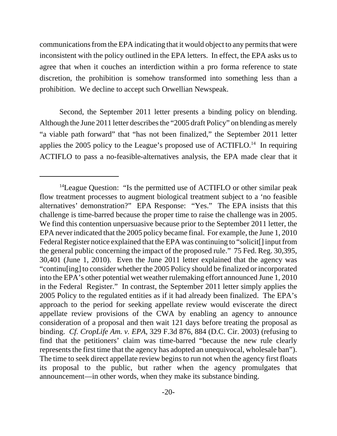communications from the EPA indicating that it would object to any permits that were inconsistent with the policy outlined in the EPA letters. In effect, the EPA asks us to agree that when it couches an interdiction within a pro forma reference to state discretion, the prohibition is somehow transformed into something less than a prohibition. We decline to accept such Orwellian Newspeak.

Second, the September 2011 letter presents a binding policy on blending. Although the June 2011 letter describes the "2005 draft Policy" on blending as merely "a viable path forward" that "has not been finalized," the September 2011 letter applies the 2005 policy to the League's proposed use of  $\text{ACTIFLO}^{14}$  In requiring ACTIFLO to pass a no-feasible-alternatives analysis, the EPA made clear that it

<sup>&</sup>lt;sup>14</sup>League Question: "Is the permitted use of ACTIFLO or other similar peak flow treatment processes to augment biological treatment subject to a 'no feasible alternatives' demonstration?" EPA Response: "Yes." The EPA insists that this challenge is time-barred because the proper time to raise the challenge was in 2005. We find this contention unpersuasive because prior to the September 2011 letter, the EPA never indicated that the 2005 policy became final. For example, the June 1, 2010 Federal Register notice explained that the EPA was continuing to "solicit[] input from the general public concerning the impact of the proposed rule." 75 Fed. Reg. 30,395, 30,401 (June 1, 2010). Even the June 2011 letter explained that the agency was "continu[ing] to consider whether the 2005 Policy should be finalized or incorporated into the EPA's other potential wet weather rulemaking effort announced June 1, 2010 in the Federal Register." In contrast, the September 2011 letter simply applies the 2005 Policy to the regulated entities as if it had already been finalized. The EPA's approach to the period for seeking appellate review would eviscerate the direct appellate review provisions of the CWA by enabling an agency to announce consideration of a proposal and then wait 121 days before treating the proposal as binding. *Cf. CropLife Am. v. EPA*, 329 F.3d 876, 884 (D.C. Cir. 2003) (refusing to find that the petitioners' claim was time-barred "because the new rule clearly represents the first time that the agency has adopted an unequivocal, wholesale ban"). The time to seek direct appellate review begins to run not when the agency first floats its proposal to the public, but rather when the agency promulgates that announcement—in other words, when they make its substance binding.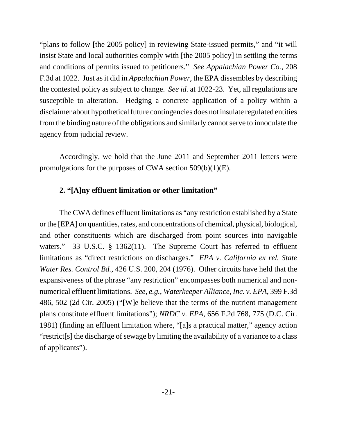"plans to follow [the 2005 policy] in reviewing State-issued permits," and "it will insist State and local authorities comply with [the 2005 policy] in settling the terms and conditions of permits issued to petitioners." *See Appalachian Power Co.*, 208 F.3d at 1022. Just as it did in *Appalachian Power*, the EPA dissembles by describing the contested policy as subject to change. *See id.* at 1022-23. Yet, all regulations are susceptible to alteration. Hedging a concrete application of a policy within a disclaimer about hypothetical future contingencies does not insulate regulated entities from the binding nature of the obligations and similarly cannot serve to innoculate the agency from judicial review.

Accordingly, we hold that the June 2011 and September 2011 letters were promulgations for the purposes of CWA section 509(b)(1)(E).

## **2. "[A]ny effluent limitation or other limitation"**

The CWA defines effluent limitations as "any restriction established by a State or the [EPA] on quantities, rates, and concentrations of chemical, physical, biological, and other constituents which are discharged from point sources into navigable waters." 33 U.S.C. § 1362(11). The Supreme Court has referred to effluent limitations as "direct restrictions on discharges." *EPA v. California ex rel. State Water Res. Control Bd.*, 426 U.S. 200, 204 (1976). Other circuits have held that the expansiveness of the phrase "any restriction" encompasses both numerical and nonnumerical effluent limitations. *See, e.g.*, *Waterkeeper Alliance, Inc. v. EPA*, 399 F.3d 486, 502 (2d Cir. 2005) ("[W]e believe that the terms of the nutrient management plans constitute effluent limitations"); *NRDC v. EPA*, 656 F.2d 768, 775 (D.C. Cir. 1981) (finding an effluent limitation where, "[a]s a practical matter," agency action "restrict[s] the discharge of sewage by limiting the availability of a variance to a class of applicants").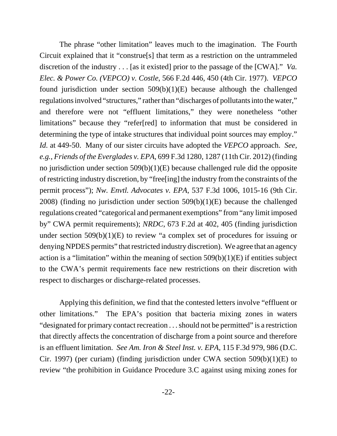The phrase "other limitation" leaves much to the imagination. The Fourth Circuit explained that it "construe[s] that term as a restriction on the untrammeled discretion of the industry . . . [as it existed] prior to the passage of the [CWA]." *Va. Elec. & Power Co. (VEPCO) v. Costle*, 566 F.2d 446, 450 (4th Cir. 1977). *VEPCO* found jurisdiction under section  $509(b)(1)(E)$  because although the challenged regulations involved "structures," rather than "discharges of pollutants into the water," and therefore were not "effluent limitations," they were nonetheless "other limitations" because they "refer[red] to information that must be considered in determining the type of intake structures that individual point sources may employ." *Id.* at 449-50. Many of our sister circuits have adopted the *VEPCO* approach. *See, e.g.*, *Friends of the Everglades v. EPA*, 699 F.3d 1280, 1287 (11th Cir. 2012) (finding no jurisdiction under section 509(b)(1)(E) because challenged rule did the opposite of restricting industry discretion, by "free[ing] the industry from the constraints of the permit process"); *Nw. Envtl. Advocates v. EPA*, 537 F.3d 1006, 1015-16 (9th Cir. 2008) (finding no jurisdiction under section 509(b)(1)(E) because the challenged regulations created "categorical and permanent exemptions" from "any limit imposed by" CWA permit requirements); *NRDC*, 673 F.2d at 402, 405 (finding jurisdiction under section  $509(b)(1)(E)$  to review "a complex set of procedures for issuing or denying NPDES permits" that restricted industry discretion). We agree that an agency action is a "limitation" within the meaning of section  $509(b)(1)(E)$  if entities subject to the CWA's permit requirements face new restrictions on their discretion with respect to discharges or discharge-related processes.

Applying this definition, we find that the contested letters involve "effluent or other limitations." The EPA's position that bacteria mixing zones in waters "designated for primary contact recreation . . . should not be permitted" is a restriction that directly affects the concentration of discharge from a point source and therefore is an effluent limitation. *See Am. Iron & Steel Inst. v. EPA*, 115 F.3d 979, 986 (D.C. Cir. 1997) (per curiam) (finding jurisdiction under CWA section 509(b)(1)(E) to review "the prohibition in Guidance Procedure 3.C against using mixing zones for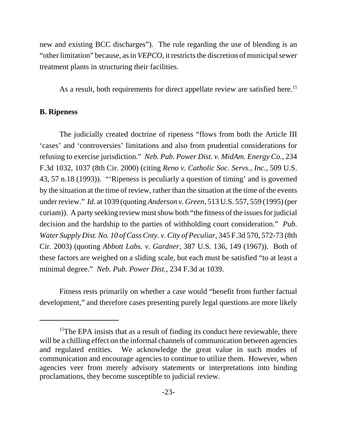new and existing BCC discharges"). The rule regarding the use of blending is an "other limitation" because, as in *VEPCO*, it restricts the discretion of municipal sewer treatment plants in structuring their facilities.

As a result, both requirements for direct appellate review are satisfied here.<sup>15</sup>

#### **B. Ripeness**

The judicially created doctrine of ripeness "flows from both the Article III 'cases' and 'controversies' limitations and also from prudential considerations for refusing to exercise jurisdiction." *Neb. Pub. Power Dist. v. MidAm. Energy Co.*, 234 F.3d 1032, 1037 (8th Cir. 2000) (citing *Reno v. Catholic Soc. Servs., Inc.*, 509 U.S. 43, 57 n.18 (1993)). "'Ripeness is peculiarly a question of timing' and is governed by the situation at the time of review, rather than the situation at the time of the events under review." *Id.* at 1039 (quoting *Anderson v. Green*, 513 U.S. 557, 559 (1995) (per curiam)). A party seeking review must show both "the fitness of the issues for judicial decision and the hardship to the parties of withholding court consideration." *Pub. Water Supply Dist. No. 10 of Cass Cnty. v. City of Peculiar*, 345 F.3d 570, 572-73 (8th Cir. 2003) (quoting *Abbott Labs. v. Gardner*, 387 U.S. 136, 149 (1967)). Both of these factors are weighed on a sliding scale, but each must be satisfied "to at least a minimal degree." *Neb. Pub. Power Dist.*, 234 F.3d at 1039.

Fitness rests primarily on whether a case would "benefit from further factual development," and therefore cases presenting purely legal questions are more likely

<sup>&</sup>lt;sup>15</sup>The EPA insists that as a result of finding its conduct here reviewable, there will be a chilling effect on the informal channels of communication between agencies and regulated entities. We acknowledge the great value in such modes of communication and encourage agencies to continue to utilize them. However, when agencies veer from merely advisory statements or interpretations into binding proclamations, they become susceptible to judicial review.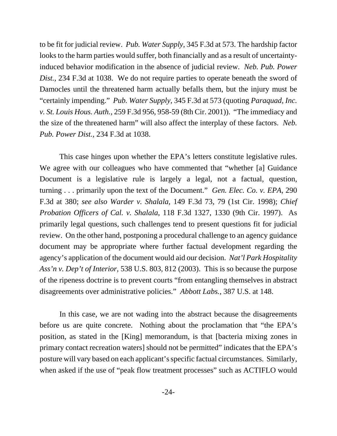to be fit for judicial review. *Pub. Water Supply*, 345 F.3d at 573. The hardship factor looks to the harm parties would suffer, both financially and as a result of uncertaintyinduced behavior modification in the absence of judicial review. *Neb. Pub. Power Dist.*, 234 F.3d at 1038. We do not require parties to operate beneath the sword of Damocles until the threatened harm actually befalls them, but the injury must be "certainly impending." *Pub. Water Supply*, 345 F.3d at 573 (quoting *Paraquad, Inc. v. St. Louis Hous. Auth.*, 259 F.3d 956, 958-59 (8th Cir. 2001)). "The immediacy and the size of the threatened harm" will also affect the interplay of these factors. *Neb. Pub. Power Dist.*, 234 F.3d at 1038.

This case hinges upon whether the EPA's letters constitute legislative rules. We agree with our colleagues who have commented that "whether [a] Guidance Document is a legislative rule is largely a legal, not a factual, question, turning . . . primarily upon the text of the Document." *Gen. Elec. Co. v. EPA*, 290 F.3d at 380; *see also Warder v. Shalala*, 149 F.3d 73, 79 (1st Cir. 1998); *Chief Probation Officers of Cal. v. Shalala*, 118 F.3d 1327, 1330 (9th Cir. 1997). As primarily legal questions, such challenges tend to present questions fit for judicial review. On the other hand, postponing a procedural challenge to an agency guidance document may be appropriate where further factual development regarding the agency's application of the document would aid our decision. *Nat'l Park Hospitality Ass'n v. Dep't of Interior*, 538 U.S. 803, 812 (2003). This is so because the purpose of the ripeness doctrine is to prevent courts "from entangling themselves in abstract disagreements over administrative policies." *Abbott Labs.*, 387 U.S. at 148.

In this case, we are not wading into the abstract because the disagreements before us are quite concrete. Nothing about the proclamation that "the EPA's position, as stated in the [King] memorandum, is that [bacteria mixing zones in primary contact recreation waters] should not be permitted" indicates that the EPA's posture will vary based on each applicant's specific factual circumstances. Similarly, when asked if the use of "peak flow treatment processes" such as ACTIFLO would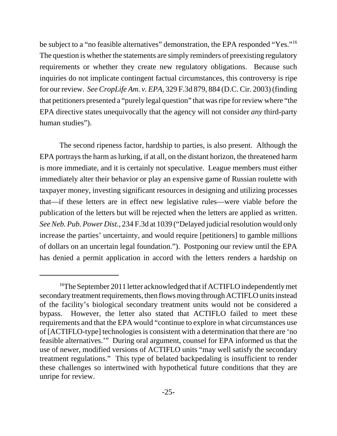be subject to a "no feasible alternatives" demonstration, the EPA responded "Yes."<sup>16</sup> The question is whether the statements are simply reminders of preexisting regulatory requirements or whether they create new regulatory obligations. Because such inquiries do not implicate contingent factual circumstances, this controversy is ripe for our review. *See CropLife Am. v. EPA*, 329 F.3d 879, 884 (D.C. Cir. 2003) (finding that petitioners presented a "purely legal question" that was ripe for review where "the EPA directive states unequivocally that the agency will not consider *any* third-party human studies").

The second ripeness factor, hardship to parties, is also present. Although the EPA portrays the harm as lurking, if at all, on the distant horizon, the threatened harm is more immediate, and it is certainly not speculative. League members must either immediately alter their behavior or play an expensive game of Russian roulette with taxpayer money, investing significant resources in designing and utilizing processes that—if these letters are in effect new legislative rules—were viable before the publication of the letters but will be rejected when the letters are applied as written. *SeeNeb. Pub. Power Dist.*, 234 F.3d at 1039 ("Delayed judicialresolution would only increase the parties' uncertainty, and would require [petitioners] to gamble millions of dollars on an uncertain legal foundation."). Postponing our review until the EPA has denied a permit application in accord with the letters renders a hardship on

<sup>&</sup>lt;sup>16</sup>The September 2011 letter acknowledged that if ACTIFLO independently met secondary treatment requirements, then flows moving through ACTIFLO units instead of the facility's biological secondary treatment units would not be considered a bypass. However, the letter also stated that ACTIFLO failed to meet these requirements and that the EPA would "continue to explore in what circumstances use of [ACTIFLO-type] technologies is consistent with a determination that there are 'no feasible alternatives.'" During oral argument, counsel for EPA informed us that the use of newer, modified versions of ACTIFLO units "may well satisfy the secondary treatment regulations." This type of belated backpedaling is insufficient to render these challenges so intertwined with hypothetical future conditions that they are unripe for review.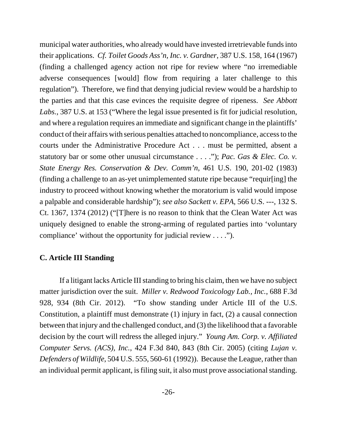municipal water authorities, who already would have invested irretrievable funds into their applications. *Cf. Toilet Goods Ass'n, Inc. v. Gardner*, 387 U.S. 158, 164 (1967) (finding a challenged agency action not ripe for review where "no irremediable adverse consequences [would] flow from requiring a later challenge to this regulation"). Therefore, we find that denying judicial review would be a hardship to the parties and that this case evinces the requisite degree of ripeness. *See Abbott Labs.*, 387 U.S. at 153 ("Where the legal issue presented is fit for judicial resolution, and where a regulation requires an immediate and significant change in the plaintiffs' conduct of their affairs with serious penalties attached to noncompliance, access to the courts under the Administrative Procedure Act . . . must be permitted, absent a statutory bar or some other unusual circumstance . . . ."); *Pac. Gas & Elec. Co. v. State Energy Res. Conservation & Dev. Comm'n*, 461 U.S. 190, 201-02 (1983) (finding a challenge to an as-yet unimplemented statute ripe because "requir[ing] the industry to proceed without knowing whether the moratorium is valid would impose a palpable and considerable hardship"); *see also Sackett v. EPA*, 566 U.S. ---, 132 S. Ct. 1367, 1374 (2012) ("[T]here is no reason to think that the Clean Water Act was uniquely designed to enable the strong-arming of regulated parties into 'voluntary compliance' without the opportunity for judicial review . . . .").

#### **C. Article III Standing**

If a litigant lacks Article III standing to bring his claim, then we have no subject matter jurisdiction over the suit. *Miller v. Redwood Toxicology Lab., Inc.*, 688 F.3d 928, 934 (8th Cir. 2012). "To show standing under Article III of the U.S. Constitution, a plaintiff must demonstrate (1) injury in fact, (2) a causal connection between that injury and the challenged conduct, and (3) the likelihood that a favorable decision by the court will redress the alleged injury." *Young Am. Corp. v. Affiliated Computer Servs. (ACS), Inc.*, 424 F.3d 840, 843 (8th Cir. 2005) (citing *Lujan v. Defenders of Wildlife*, 504 U.S. 555, 560-61 (1992)). Because the League, rather than an individual permit applicant, is filing suit, it also must prove associational standing.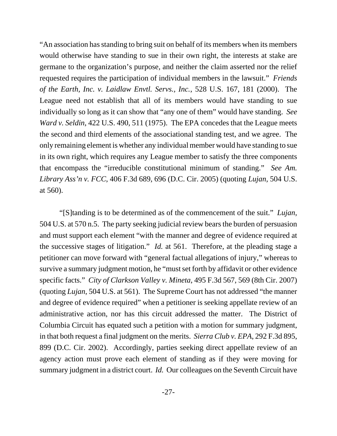"An association has standing to bring suit on behalf of its members when its members would otherwise have standing to sue in their own right, the interests at stake are germane to the organization's purpose, and neither the claim asserted nor the relief requested requires the participation of individual members in the lawsuit." *Friends of the Earth, Inc. v. Laidlaw Envtl. Servs., Inc.*, 528 U.S. 167, 181 (2000). The League need not establish that all of its members would have standing to sue individually so long as it can show that "any one of them" would have standing. *See Ward v. Seldin*, 422 U.S. 490, 511 (1975). The EPA concedes that the League meets the second and third elements of the associational standing test, and we agree. The only remaining element is whether any individual member would have standing to sue in its own right, which requires any League member to satisfy the three components that encompass the "irreducible constitutional minimum of standing." *See Am. Library Ass'n v. FCC*, 406 F.3d 689, 696 (D.C. Cir. 2005) (quoting *Lujan*, 504 U.S. at 560).

"[S]tanding is to be determined as of the commencement of the suit." *Lujan*, 504 U.S. at 570 n.5. The party seeking judicial review bears the burden of persuasion and must support each element "with the manner and degree of evidence required at the successive stages of litigation." *Id.* at 561. Therefore, at the pleading stage a petitioner can move forward with "general factual allegations of injury," whereas to survive a summary judgment motion, he "must set forth by affidavit or other evidence specific facts." *City of Clarkson Valley v. Mineta*, 495 F.3d 567, 569 (8th Cir. 2007) (quoting *Lujan*, 504 U.S. at 561). The Supreme Court has not addressed "the manner and degree of evidence required" when a petitioner is seeking appellate review of an administrative action, nor has this circuit addressed the matter. The District of Columbia Circuit has equated such a petition with a motion for summary judgment, in that both request a final judgment on the merits. *Sierra Club v. EPA*, 292 F.3d 895, 899 (D.C. Cir. 2002). Accordingly, parties seeking direct appellate review of an agency action must prove each element of standing as if they were moving for summary judgment in a district court. *Id.* Our colleagues on the Seventh Circuit have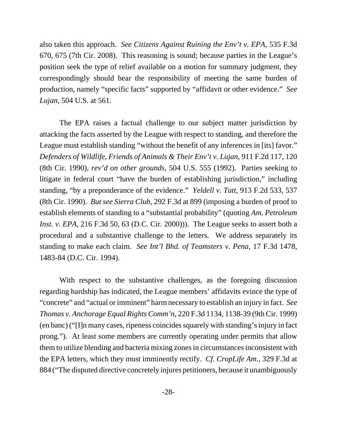also taken this approach. *See Citizens Against Ruining the Env't v. EPA*, 535 F.3d 670, 675 (7th Cir. 2008). This reasoning is sound; because parties in the League's position seek the type of relief available on a motion for summary judgment, they correspondingly should bear the responsibility of meeting the same burden of production, namely "specific facts" supported by "affidavit or other evidence." *See Lujan*, 504 U.S. at 561.

The EPA raises a factual challenge to our subject matter jurisdiction by attacking the facts asserted by the League with respect to standing, and therefore the League must establish standing "without the benefit of any inferences in [its] favor." *Defenders of Wildlife, Friends of Animals & Their Env't v. Lujan*, 911 F.2d 117, 120 (8th Cir. 1990), *rev'd on other grounds*, 504 U.S. 555 (1992). Parties seeking to litigate in federal court "have the burden of establishing jurisdiction," including standing, "by a preponderance of the evidence." *Yeldell v. Tutt*, 913 F.2d 533, 537 (8th Cir. 1990). *But see Sierra Club*, 292 F.3d at 899 (imposing a burden of proof to establish elements of standing to a "substantial probability" (quoting *Am. Petroleum Inst. v. EPA*, 216 F.3d 50, 63 (D.C. Cir. 2000)). The League seeks to assert both a procedural and a substantive challenge to the letters. We address separately its standing to make each claim. *See Int'l Bhd. of Teamsters v. Pena*, 17 F.3d 1478, 1483-84 (D.C. Cir. 1994).

With respect to the substantive challenges, as the foregoing discussion regarding hardship has indicated, the League members' affidavits evince the type of "concrete" and "actual or imminent" harm necessary to establish an injury in fact. *See Thomas v. Anchorage Equal Rights Comm'n*, 220 F.3d 1134, 1138-39 (9th Cir. 1999) (en banc) ("[I]n many cases, ripeness coincides squarely with standing's injury in fact prong."). At least some members are currently operating under permits that allow them to utilize blending and bacteria mixing zones in circumstances inconsistent with the EPA letters, which they must imminently rectify. *Cf. CropLife Am.*, 329 F.3d at 884 ("The disputed directive concretely injures petitioners, because it unambiguously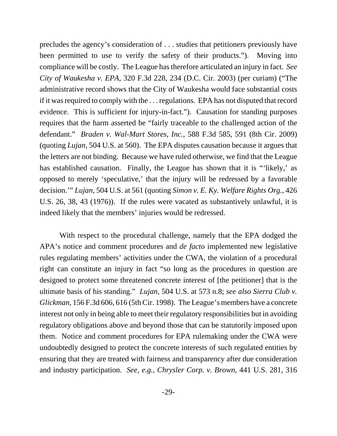precludes the agency's consideration of . . . studies that petitioners previously have been permitted to use to verify the safety of their products."). Moving into compliance will be costly. The League has therefore articulated an injury in fact. *See City of Waukesha v. EPA*, 320 F.3d 228, 234 (D.C. Cir. 2003) (per curiam) ("The administrative record shows that the City of Waukesha would face substantial costs if it was required to comply with the . . . regulations. EPA has not disputed that record evidence. This is sufficient for injury-in-fact."). Causation for standing purposes requires that the harm asserted be "fairly traceable to the challenged action of the defendant." *Braden v. Wal-Mart Stores, Inc.*, 588 F.3d 585, 591 (8th Cir. 2009) (quoting *Lujan*, 504 U.S. at 560). The EPA disputes causation because it argues that the letters are not binding. Because we have ruled otherwise, we find that the League has established causation. Finally, the League has shown that it is "'likely,' as opposed to merely 'speculative,' that the injury will be redressed by a favorable decision.'" *Lujan*, 504 U.S. at 561 (quoting *Simon v. E. Ky. Welfare Rights Org.*, 426 U.S. 26, 38, 43 (1976)). If the rules were vacated as substantively unlawful, it is indeed likely that the members' injuries would be redressed.

With respect to the procedural challenge, namely that the EPA dodged the APA's notice and comment procedures and *de facto* implemented new legislative rules regulating members' activities under the CWA, the violation of a procedural right can constitute an injury in fact "so long as the procedures in question are designed to protect some threatened concrete interest of [the petitioner] that is the ultimate basis of his standing." *Lujan*, 504 U.S. at 573 n.8; *see also Sierra Club v. Glickman*, 156 F.3d 606, 616 (5th Cir. 1998). The League's members have a concrete interest not only in being able to meet their regulatory responsibilities but in avoiding regulatory obligations above and beyond those that can be statutorily imposed upon them. Notice and comment procedures for EPA rulemaking under the CWA were undoubtedly designed to protect the concrete interests of such regulated entities by ensuring that they are treated with fairness and transparency after due consideration and industry participation. *See, e.g.*, *Chrysler Corp. v. Brown*, 441 U.S. 281, 316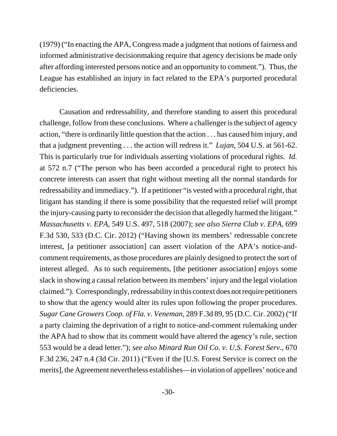(1979) ("In enacting the APA, Congress made a judgment that notions of fairness and informed administrative decisionmaking require that agency decisions be made only after affording interested persons notice and an opportunity to comment."). Thus, the League has established an injury in fact related to the EPA's purported procedural deficiencies.

Causation and redressability, and therefore standing to assert this procedural challenge, follow from these conclusions. Where a challenger is the subject of agency action, "there is ordinarily little question that the action . . . has caused him injury, and that a judgment preventing . . . the action will redress it." *Lujan*, 504 U.S. at 561-62. This is particularly true for individuals asserting violations of procedural rights. *Id.* at 572 n.7 ("The person who has been accorded a procedural right to protect his concrete interests can assert that right without meeting all the normal standards for redressability and immediacy."). If a petitioner "is vested with a procedural right, that litigant has standing if there is some possibility that the requested relief will prompt the injury-causing party to reconsider the decision that allegedly harmed the litigant." *Massachusetts v. EPA*, 549 U.S. 497, 518 (2007); *see also Sierra Club v. EPA*, 699 F.3d 530, 533 (D.C. Cir. 2012) ("Having shown its members' redressable concrete interest, [a petitioner association] can assert violation of the APA's notice-andcomment requirements, as those procedures are plainly designed to protect the sort of interest alleged. As to such requirements, [the petitioner association] enjoys some slack in showing a causal relation between its members' injury and the legal violation claimed."). Correspondingly, redressability in this context does not require petitioners to show that the agency would alter its rules upon following the proper procedures. *Sugar Cane Growers Coop. of Fla. v. Veneman*, 289 F.3d 89, 95 (D.C. Cir. 2002) ("If a party claiming the deprivation of a right to notice-and-comment rulemaking under the APA had to show that its comment would have altered the agency's rule, section 553 would be a dead letter."); *see also Minard Run Oil Co. v. U.S. Forest Serv.*, 670 F.3d 236, 247 n.4 (3d Cir. 2011) ("Even if the [U.S. Forest Service is correct on the merits], the Agreement nevertheless establishes—in violation of appellees' notice and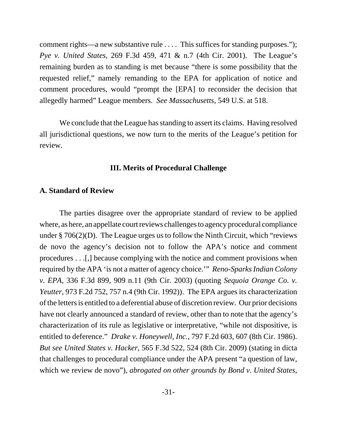comment rights—a new substantive rule . . . . This suffices for standing purposes."); *Pye v. United States*, 269 F.3d 459, 471 & n.7 (4th Cir. 2001). The League's remaining burden as to standing is met because "there is some possibility that the requested relief," namely remanding to the EPA for application of notice and comment procedures, would "prompt the [EPA] to reconsider the decision that allegedly harmed" League members. *See Massachusetts*, 549 U.S. at 518.

We conclude that the League has standing to assert its claims. Having resolved all jurisdictional questions, we now turn to the merits of the League's petition for review.

#### **III. Merits of Procedural Challenge**

#### **A. Standard of Review**

The parties disagree over the appropriate standard of review to be applied where, as here, an appellate court reviews challenges to agency procedural compliance under  $\S 706(2)(D)$ . The League urges us to follow the Ninth Circuit, which "reviews" de novo the agency's decision not to follow the APA's notice and comment procedures . . .[,] because complying with the notice and comment provisions when required by the APA 'is not a matter of agency choice.'" *Reno-Sparks Indian Colony v. EPA*, 336 F.3d 899, 909 n.11 (9th Cir. 2003) (quoting *Sequoia Orange Co. v. Yeutter*, 973 F.2d 752, 757 n.4 (9th Cir. 1992)). The EPA argues its characterization of the letters is entitled to a deferential abuse of discretion review. Our prior decisions have not clearly announced a standard of review, other than to note that the agency's characterization of its rule as legislative or interpretative, "while not dispositive, is entitled to deference." *Drake v. Honeywell, Inc.*, 797 F.2d 603, 607 (8th Cir. 1986). *But see United States v. Hacker*, 565 F.3d 522, 524 (8th Cir. 2009) (stating in dicta that challenges to procedural compliance under the APA present "a question of law, which we review de novo"), *abrogated on other grounds by Bond v. United States*,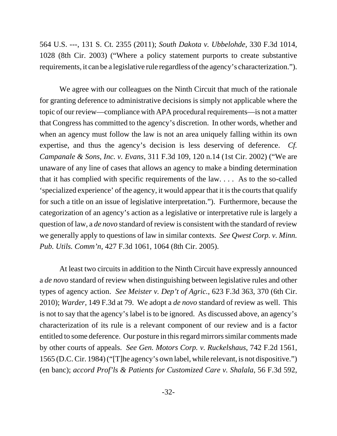564 U.S. ---, 131 S. Ct. 2355 (2011); *South Dakota v. Ubbelohde*, 330 F.3d 1014, 1028 (8th Cir. 2003) ("Where a policy statement purports to create substantive requirements, it can be a legislative rule regardless of the agency's characterization.").

We agree with our colleagues on the Ninth Circuit that much of the rationale for granting deference to administrative decisions is simply not applicable where the topic of our review—compliance with APA procedural requirements—is not a matter that Congress has committed to the agency's discretion. In other words, whether and when an agency must follow the law is not an area uniquely falling within its own expertise, and thus the agency's decision is less deserving of deference. *Cf. Campanale & Sons, Inc. v. Evans*, 311 F.3d 109, 120 n.14 (1st Cir. 2002) ("We are unaware of any line of cases that allows an agency to make a binding determination that it has complied with specific requirements of the law. . . . As to the so-called 'specialized experience' of the agency, it would appear that it is the courts that qualify for such a title on an issue of legislative interpretation."). Furthermore, because the categorization of an agency's action as a legislative or interpretative rule is largely a question of law, a *de novo* standard of review is consistent with the standard of review we generally apply to questions of law in similar contexts. *See Qwest Corp. v. Minn. Pub. Utils. Comm'n*, 427 F.3d 1061, 1064 (8th Cir. 2005).

At least two circuits in addition to the Ninth Circuit have expressly announced a *de novo* standard of review when distinguishing between legislative rules and other types of agency action. *See Meister v. Dep't of Agric.*, 623 F.3d 363, 370 (6th Cir. 2010); *Warder*, 149 F.3d at 79. We adopt a *de novo* standard of review as well. This is not to say that the agency's label is to be ignored. As discussed above, an agency's characterization of its rule is a relevant component of our review and is a factor entitled to some deference. Our posture in this regard mirrors similar comments made by other courts of appeals. *See Gen. Motors Corp. v. Ruckelshaus*, 742 F.2d 1561, 1565 (D.C. Cir. 1984) ("[T]he agency's own label, while relevant, is not dispositive.") (en banc); *accord Prof'ls & Patients for Customized Care v. Shalala*, 56 F.3d 592,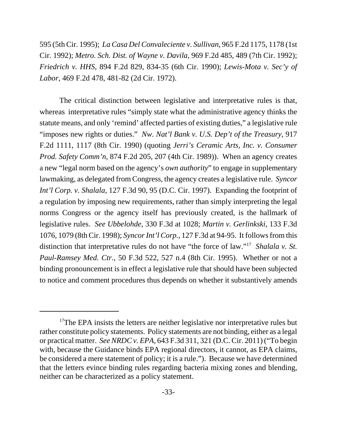595 (5th Cir. 1995); *La Casa Del Convaleciente v. Sullivan*, 965 F.2d 1175, 1178 (1st Cir. 1992); *Metro. Sch. Dist. of Wayne v. Davila*, 969 F.2d 485, 489 (7th Cir. 1992); *Friedrich v. HHS*, 894 F.2d 829, 834-35 (6th Cir. 1990); *Lewis-Mota v. Sec'y of Labor*, 469 F.2d 478, 481-82 (2d Cir. 1972).

The critical distinction between legislative and interpretative rules is that, whereas interpretative rules "simply state what the administrative agency thinks the statute means, and only 'remind' affected parties of existing duties," a legislative rule "imposes new rights or duties." *Nw. Nat'l Bank v. U.S. Dep't of the Treasury*, 917 F.2d 1111, 1117 (8th Cir. 1990) (quoting *Jerri's Ceramic Arts, Inc. v. Consumer Prod. Safety Comm'n*, 874 F.2d 205, 207 (4th Cir. 1989)). When an agency creates a new "legal norm based on the agency's *own authority*" to engage in supplementary lawmaking, as delegated from Congress, the agency creates a legislative rule. *Syncor Int'l Corp. v. Shalala*, 127 F.3d 90, 95 (D.C. Cir. 1997). Expanding the footprint of a regulation by imposing new requirements, rather than simply interpreting the legal norms Congress or the agency itself has previously created, is the hallmark of legislative rules. *See Ubbelohde*, 330 F.3d at 1028; *Martin v. Gerlinkski*, 133 F.3d 1076, 1079 (8th Cir. 1998); *Syncor Int'l Corp.*, 127 F.3d at 94-95. It follows from this distinction that interpretative rules do not have "the force of law."17 *Shalala v. St. Paul-Ramsey Med. Ctr.*, 50 F.3d 522, 527 n.4 (8th Cir. 1995). Whether or not a binding pronouncement is in effect a legislative rule that should have been subjected to notice and comment procedures thus depends on whether it substantively amends

 $17$ The EPA insists the letters are neither legislative nor interpretative rules but rather constitute policy statements. Policy statements are not binding, either as a legal or practical matter. *See NRDC v. EPA*, 643 F.3d 311, 321 (D.C. Cir. 2011) ("To begin with, because the Guidance binds EPA regional directors, it cannot, as EPA claims, be considered a mere statement of policy; it is a rule."). Because we have determined that the letters evince binding rules regarding bacteria mixing zones and blending, neither can be characterized as a policy statement.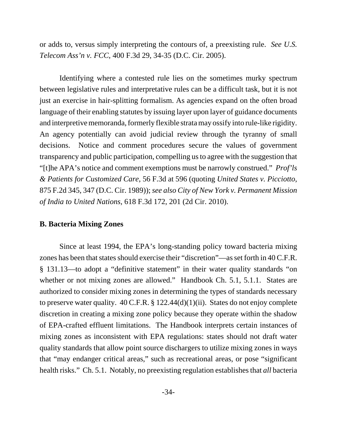or adds to, versus simply interpreting the contours of, a preexisting rule. *See U.S. Telecom Ass'n v. FCC*, 400 F.3d 29, 34-35 (D.C. Cir. 2005).

Identifying where a contested rule lies on the sometimes murky spectrum between legislative rules and interpretative rules can be a difficult task, but it is not just an exercise in hair-splitting formalism. As agencies expand on the often broad language of their enabling statutes by issuing layer upon layer of guidance documents and interpretive memoranda, formerly flexible strata may ossify into rule-like rigidity. An agency potentially can avoid judicial review through the tyranny of small decisions. Notice and comment procedures secure the values of government transparency and public participation, compelling usto agree with the suggestion that "[t]he APA's notice and comment exemptions must be narrowly construed." *Prof'ls & Patients for Customized Care*, 56 F.3d at 596 (quoting *United States v. Picciotto*, 875 F.2d 345, 347 (D.C. Cir. 1989)); *see also City of New York v. Permanent Mission of India to United Nations*, 618 F.3d 172, 201 (2d Cir. 2010).

#### **B. Bacteria Mixing Zones**

Since at least 1994, the EPA's long-standing policy toward bacteria mixing zones has been that states should exercise their "discretion"—as set forth in 40 C.F.R. § 131.13—to adopt a "definitive statement" in their water quality standards "on whether or not mixing zones are allowed." Handbook Ch. 5.1, 5.1.1. States are authorized to consider mixing zones in determining the types of standards necessary to preserve water quality.  $40 \text{ C.F.R.}$  §  $122.44(d)(1)(ii)$ . States do not enjoy complete discretion in creating a mixing zone policy because they operate within the shadow of EPA-crafted effluent limitations. The Handbook interprets certain instances of mixing zones as inconsistent with EPA regulations: states should not draft water quality standards that allow point source dischargers to utilize mixing zones in ways that "may endanger critical areas," such as recreational areas, or pose "significant health risks." Ch. 5.1. Notably, no preexisting regulation establishes that *all* bacteria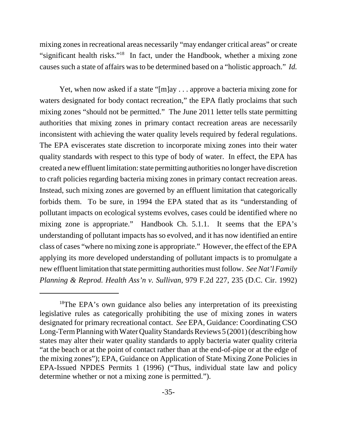mixing zones in recreational areas necessarily "may endanger critical areas" or create "significant health risks."18 In fact, under the Handbook, whether a mixing zone causes such a state of affairs was to be determined based on a "holistic approach." *Id.*

Yet, when now asked if a state "[m]ay . . . approve a bacteria mixing zone for waters designated for body contact recreation," the EPA flatly proclaims that such mixing zones "should not be permitted." The June 2011 letter tells state permitting authorities that mixing zones in primary contact recreation areas are necessarily inconsistent with achieving the water quality levels required by federal regulations. The EPA eviscerates state discretion to incorporate mixing zones into their water quality standards with respect to this type of body of water. In effect, the EPA has created a new effluent limitation: state permitting authorities no longer have discretion to craft policies regarding bacteria mixing zones in primary contact recreation areas. Instead, such mixing zones are governed by an effluent limitation that categorically forbids them. To be sure, in 1994 the EPA stated that as its "understanding of pollutant impacts on ecological systems evolves, cases could be identified where no mixing zone is appropriate." Handbook Ch. 5.1.1. It seems that the EPA's understanding of pollutant impacts has so evolved, and it has now identified an entire class of cases "where no mixing zone is appropriate." However, the effect of the EPA applying its more developed understanding of pollutant impacts is to promulgate a new effluent limitation that state permitting authorities must follow. *See Nat'l Family Planning & Reprod. Health Ass'n v. Sullivan*, 979 F.2d 227, 235 (D.C. Cir. 1992)

<sup>&</sup>lt;sup>18</sup>The EPA's own guidance also belies any interpretation of its preexisting legislative rules as categorically prohibiting the use of mixing zones in waters designated for primary recreational contact. *See* EPA, Guidance: Coordinating CSO Long-Term Planning with Water Quality Standards Reviews 5 (2001) (describing how states may alter their water quality standards to apply bacteria water quality criteria "at the beach or at the point of contact rather than at the end-of-pipe or at the edge of the mixing zones"); EPA, Guidance on Application of State Mixing Zone Policies in EPA-Issued NPDES Permits 1 (1996) ("Thus, individual state law and policy determine whether or not a mixing zone is permitted.").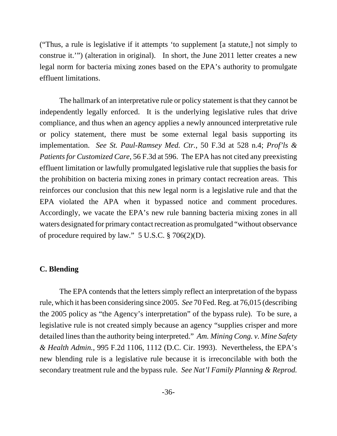("Thus, a rule is legislative if it attempts 'to supplement [a statute,] not simply to construe it.'") (alteration in original). In short, the June 2011 letter creates a new legal norm for bacteria mixing zones based on the EPA's authority to promulgate effluent limitations.

The hallmark of an interpretative rule or policy statement is that they cannot be independently legally enforced. It is the underlying legislative rules that drive compliance, and thus when an agency applies a newly announced interpretative rule or policy statement, there must be some external legal basis supporting its implementation. *See St. Paul-Ramsey Med. Ctr.*, 50 F.3d at 528 n.4; *Prof'ls & Patients for Customized Care*, 56 F.3d at 596. The EPA has not cited any preexisting effluent limitation or lawfully promulgated legislative rule that supplies the basis for the prohibition on bacteria mixing zones in primary contact recreation areas. This reinforces our conclusion that this new legal norm is a legislative rule and that the EPA violated the APA when it bypassed notice and comment procedures. Accordingly, we vacate the EPA's new rule banning bacteria mixing zones in all waters designated for primary contact recreation as promulgated "without observance of procedure required by law." 5 U.S.C. § 706(2)(D).

#### **C. Blending**

The EPA contends that the letters simply reflect an interpretation of the bypass rule, which it has been considering since 2005. *See* 70 Fed. Reg. at 76,015 (describing the 2005 policy as "the Agency's interpretation" of the bypass rule). To be sure, a legislative rule is not created simply because an agency "supplies crisper and more detailed lines than the authority being interpreted." *Am. Mining Cong. v. Mine Safety & Health Admin.*, 995 F.2d 1106, 1112 (D.C. Cir. 1993). Nevertheless, the EPA's new blending rule is a legislative rule because it is irreconcilable with both the secondary treatment rule and the bypass rule. *See Nat'l Family Planning & Reprod.*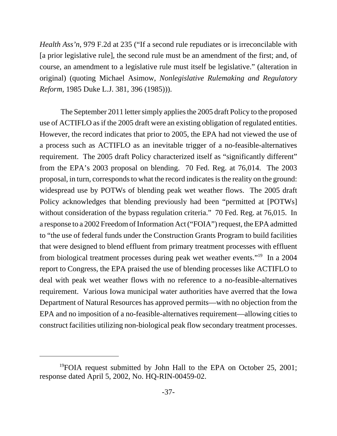*Health Ass'n*, 979 F.2d at 235 ("If a second rule repudiates or is irreconcilable with [a prior legislative rule], the second rule must be an amendment of the first; and, of course, an amendment to a legislative rule must itself be legislative." (alteration in original) (quoting Michael Asimow, *Nonlegislative Rulemaking and Regulatory Reform*, 1985 Duke L.J. 381, 396 (1985))).

 The September 2011 letter simply applies the 2005 draft Policy to the proposed use of ACTIFLO as if the 2005 draft were an existing obligation of regulated entities. However, the record indicates that prior to 2005, the EPA had not viewed the use of a process such as ACTIFLO as an inevitable trigger of a no-feasible-alternatives requirement. The 2005 draft Policy characterized itself as "significantly different" from the EPA's 2003 proposal on blending. 70 Fed. Reg. at 76,014. The 2003 proposal, in turn, corresponds to what the record indicates is the reality on the ground: widespread use by POTWs of blending peak wet weather flows. The 2005 draft Policy acknowledges that blending previously had been "permitted at [POTWs] without consideration of the bypass regulation criteria." 70 Fed. Reg. at 76,015. In a response to a 2002 Freedom of Information Act ("FOIA") request, the EPA admitted to "the use of federal funds under the Construction Grants Program to build facilities that were designed to blend effluent from primary treatment processes with effluent from biological treatment processes during peak wet weather events."19 In a 2004 report to Congress, the EPA praised the use of blending processes like ACTIFLO to deal with peak wet weather flows with no reference to a no-feasible-alternatives requirement. Various Iowa municipal water authorities have averred that the Iowa Department of Natural Resources has approved permits—with no objection from the EPA and no imposition of a no-feasible-alternatives requirement—allowing cities to construct facilities utilizing non-biological peak flow secondary treatment processes.

 $19$ FOIA request submitted by John Hall to the EPA on October 25, 2001; response dated April 5, 2002, No. HQ-RIN-00459-02.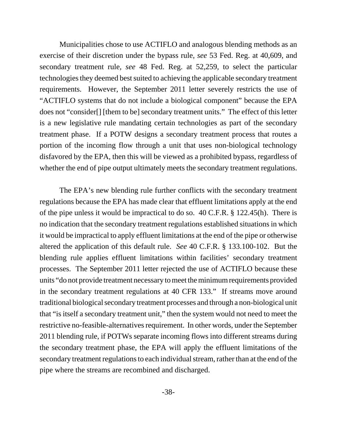Municipalities chose to use ACTIFLO and analogous blending methods as an exercise of their discretion under the bypass rule, *see* 53 Fed. Reg. at 40,609, and secondary treatment rule, *see* 48 Fed. Reg. at 52,259, to select the particular technologies they deemed best suited to achieving the applicable secondary treatment requirements. However, the September 2011 letter severely restricts the use of "ACTIFLO systems that do not include a biological component" because the EPA does not "consider[] [them to be] secondary treatment units." The effect of this letter is a new legislative rule mandating certain technologies as part of the secondary treatment phase. If a POTW designs a secondary treatment process that routes a portion of the incoming flow through a unit that uses non-biological technology disfavored by the EPA, then this will be viewed as a prohibited bypass, regardless of whether the end of pipe output ultimately meets the secondary treatment regulations.

The EPA's new blending rule further conflicts with the secondary treatment regulations because the EPA has made clear that effluent limitations apply at the end of the pipe unless it would be impractical to do so. 40 C.F.R. § 122.45(h). There is no indication that the secondary treatment regulations established situationsin which it would be impractical to apply effluent limitations at the end of the pipe or otherwise altered the application of this default rule. *See* 40 C.F.R. § 133.100-102. But the blending rule applies effluent limitations within facilities' secondary treatment processes. The September 2011 letter rejected the use of ACTIFLO because these units "do not provide treatment necessary to meet the minimum requirements provided in the secondary treatment regulations at 40 CFR 133." If streams move around traditional biological secondary treatment processes and through a non-biological unit that "is itself a secondary treatment unit," then the system would not need to meet the restrictive no-feasible-alternatives requirement. In other words, under the September 2011 blending rule, if POTWs separate incoming flows into different streams during the secondary treatment phase, the EPA will apply the effluent limitations of the secondary treatment regulations to each individual stream, rather than at the end of the pipe where the streams are recombined and discharged.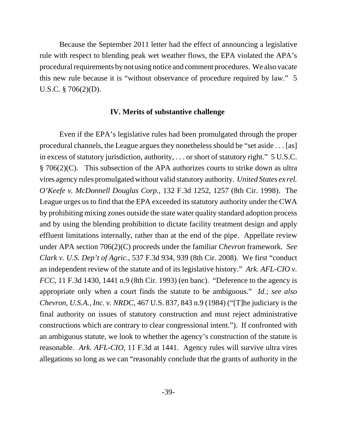Because the September 2011 letter had the effect of announcing a legislative rule with respect to blending peak wet weather flows, the EPA violated the APA's procedural requirements by not using notice and comment procedures. We also vacate this new rule because it is "without observance of procedure required by law." 5 U.S.C. § 706(2)(D).

#### **IV. Merits of substantive challenge**

Even if the EPA's legislative rules had been promulgated through the proper procedural channels, the League argues they nonetheless should be "set aside . . . [as] in excess of statutory jurisdiction, authority, . . . or short of statutory right." 5 U.S.C. § 706(2)(C). This subsection of the APA authorizes courts to strike down as ultra vires agency rules promulgated without valid statutory authority. *United States ex rel. O'Keefe v. McDonnell Douglas Corp.*, 132 F.3d 1252, 1257 (8th Cir. 1998). The League urges us to find that the EPA exceeded its statutory authority under the CWA by prohibiting mixing zones outside the state water quality standard adoption process and by using the blending prohibition to dictate facility treatment design and apply effluent limitations internally, rather than at the end of the pipe. Appellate review under APA section 706(2)(C) proceeds under the familiar *Chevron* framework. *See Clark v. U.S. Dep't of Agric.*, 537 F.3d 934, 939 (8th Cir. 2008). We first "conduct an independent review of the statute and of its legislative history." *Ark. AFL-CIO v. FCC*, 11 F.3d 1430, 1441 n.9 (8th Cir. 1993) (en banc). "Deference to the agency is appropriate only when a court finds the statute to be ambiguous." *Id.*; *see also Chevron, U.S.A., Inc. v. NRDC*, 467 U.S. 837, 843 n.9 (1984) ("[T]he judiciary is the final authority on issues of statutory construction and must reject administrative constructions which are contrary to clear congressional intent."). If confronted with an ambiguous statute, we look to whether the agency's construction of the statute is reasonable. *Ark. AFL-CIO*, 11 F.3d at 1441. Agency rules will survive ultra vires allegations so long as we can "reasonably conclude that the grants of authority in the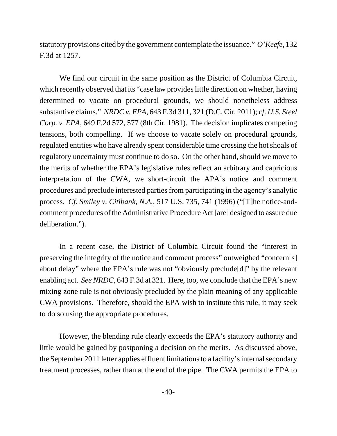statutory provisions cited by the government contemplate the issuance." *O'Keefe*, 132 F.3d at 1257.

We find our circuit in the same position as the District of Columbia Circuit, which recently observed that its "case law provides little direction on whether, having determined to vacate on procedural grounds, we should nonetheless address substantive claims." *NRDC v. EPA*, 643 F.3d 311, 321 (D.C. Cir. 2011); *cf. U.S. Steel Corp. v. EPA*, 649 F.2d 572, 577 (8th Cir. 1981). The decision implicates competing tensions, both compelling. If we choose to vacate solely on procedural grounds, regulated entities who have already spent considerable time crossing the hot shoals of regulatory uncertainty must continue to do so. On the other hand, should we move to the merits of whether the EPA's legislative rules reflect an arbitrary and capricious interpretation of the CWA, we short-circuit the APA's notice and comment procedures and preclude interested parties from participating in the agency's analytic process. *Cf. Smiley v. Citibank, N.A.*, 517 U.S. 735, 741 (1996) ("[T]he notice-andcomment procedures of the Administrative Procedure Act [are] designed to assure due deliberation.").

In a recent case, the District of Columbia Circuit found the "interest in preserving the integrity of the notice and comment process" outweighed "concern[s] about delay" where the EPA's rule was not "obviously preclude[d]" by the relevant enabling act. *See NRDC*, 643 F.3d at 321. Here, too, we conclude that the EPA's new mixing zone rule is not obviously precluded by the plain meaning of any applicable CWA provisions. Therefore, should the EPA wish to institute this rule, it may seek to do so using the appropriate procedures.

However, the blending rule clearly exceeds the EPA's statutory authority and little would be gained by postponing a decision on the merits. As discussed above, the September 2011 letter applies effluent limitations to a facility's internal secondary treatment processes, rather than at the end of the pipe. The CWA permits the EPA to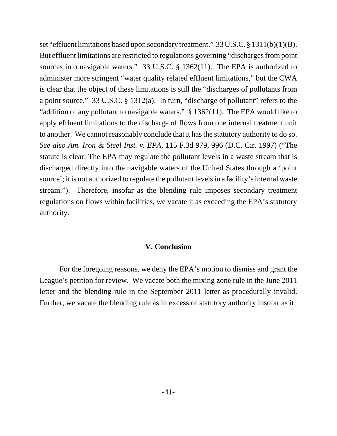set "effluent limitations based upon secondary treatment." 33 U.S.C. § 1311(b)(1)(B). But effluent limitations are restricted to regulations governing "discharges from point sources into navigable waters." 33 U.S.C. § 1362(11). The EPA is authorized to administer more stringent "water quality related effluent limitations," but the CWA is clear that the object of these limitations is still the "discharges of pollutants from a point source." 33 U.S.C. § 1312(a). In turn, "discharge of pollutant" refers to the "addition of any pollutant to navigable waters." § 1362(11). The EPA would like to apply effluent limitations to the discharge of flows from one internal treatment unit to another. We cannot reasonably conclude that it has the statutory authority to do so. *See also Am. Iron & Steel Inst. v. EPA*, 115 F.3d 979, 996 (D.C. Cir. 1997) ("The statute is clear: The EPA may regulate the pollutant levels in a waste stream that is discharged directly into the navigable waters of the United States through a 'point source'; it is not authorized to regulate the pollutant levels in a facility's internal waste stream."). Therefore, insofar as the blending rule imposes secondary treatment regulations on flows within facilities, we vacate it as exceeding the EPA's statutory authority.

#### **V. Conclusion**

For the foregoing reasons, we deny the EPA's motion to dismiss and grant the League's petition for review. We vacate both the mixing zone rule in the June 2011 letter and the blending rule in the September 2011 letter as procedurally invalid. Further, we vacate the blending rule as in excess of statutory authority insofar as it